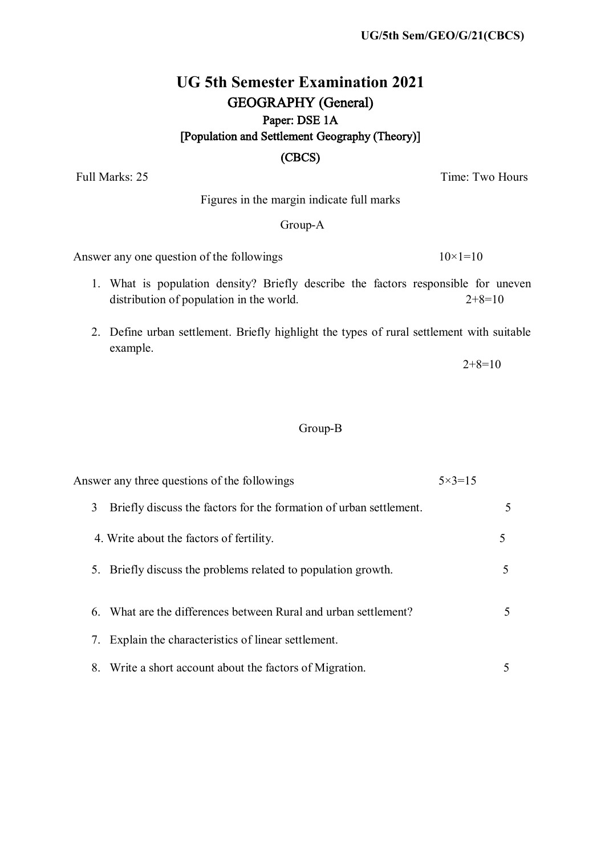#### **UG/5th Sem/GEO/G/21(CBCS)**

### **UG 5th Semester Examination 2021** GEOGRAPHY (General) Paper: DSE 1A [Population and Settlement Geography (Theory)]

#### (CBCS)

Full Marks: 25 Time: Two Hours

Figures in the margin indicate full marks

#### Group-A

Answer any one question of the followings  $10\times1=10$ 

- 1. What is population density? Briefly describe the factors responsible for uneven distribution of population in the world.  $2+8=10$
- 2. Define urban settlement. Briefly highlight the types of rural settlement with suitable example.

 $2+8=10$ 

#### Group-B

| Answer any three questions of the followings                            | $5 \times 3 = 15$ |
|-------------------------------------------------------------------------|-------------------|
| 3<br>Briefly discuss the factors for the formation of urban settlement. | 5                 |
| 4. Write about the factors of fertility.                                |                   |
| 5. Briefly discuss the problems related to population growth.           | 5                 |
| 6. What are the differences between Rural and urban settlement?         | 5                 |
| Explain the characteristics of linear settlement.                       |                   |
| 8. Write a short account about the factors of Migration.                |                   |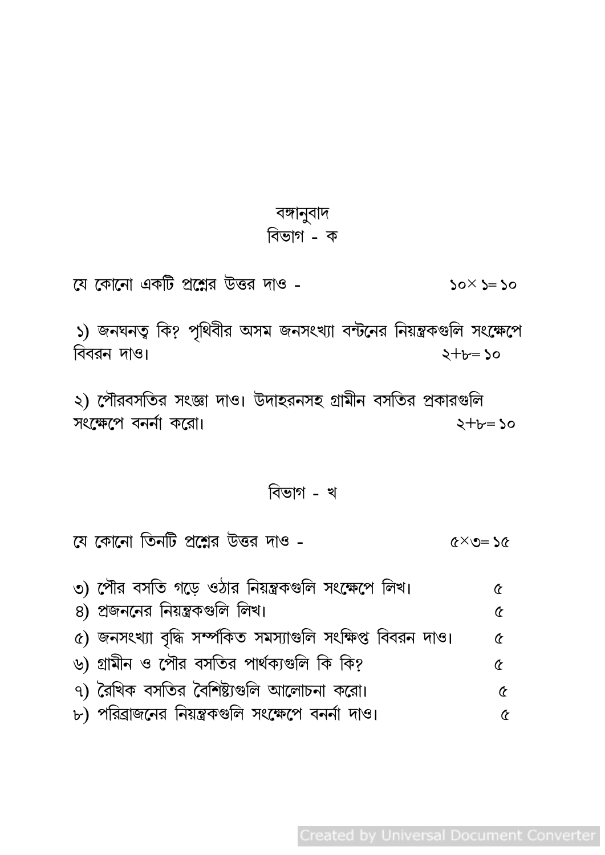## বঙ্গানুবাদ বিভাগ - ক

যে কোনো একটি প্রশ্নের উত্তর দাও - $50 \times 5 = 50$ 

১) জনঘনত্ব কি? পৃথিবীর অসম জনসংখ্যা বন্টনের নিয়ন্ত্রকগুলি সংক্ষেপে বিবরন দাও।  $2 + b = 20$ 

২) পৌরবসতির সংজ্ঞা দাও। উদাহরনসহ গ্রামীন বসতির প্রকারগুলি সংক্ষেপে বনর্না করো।  $2 + b = 50$ 

## বিভাগ - খ

যে কোনো তিনটি প্রশ্নের উত্তর দাও  $x \in \mathcal{S} \times \mathcal{S}$ 

| ৩) পৌর বসতি গড়ে ওঠার নিয়ন্ত্রকগুলি সংক্ষেপে লিখ।         | Œ |
|------------------------------------------------------------|---|
| 8) প্রজননের নিয়ন্ত্রকগুলি লিখ।                            | Q |
| ৫) জনসংখ্যা বৃদ্ধি সম্পকিত সমস্যাগুলি সংক্ষিপ্ত বিবরন দাও। | Œ |
| ৬) গ্রামীন ও পৌর বসতির পার্থক্যগুলি কি কি?                 | Œ |
| ৭) রৈখিক বসতির বৈশিষ্ট্যগুলি আলোচনা করো।                   | Œ |
| ৮) পরিব্রাজনের নিয়ন্ত্রকগুলি সংক্ষেপে বনর্না দাও।         |   |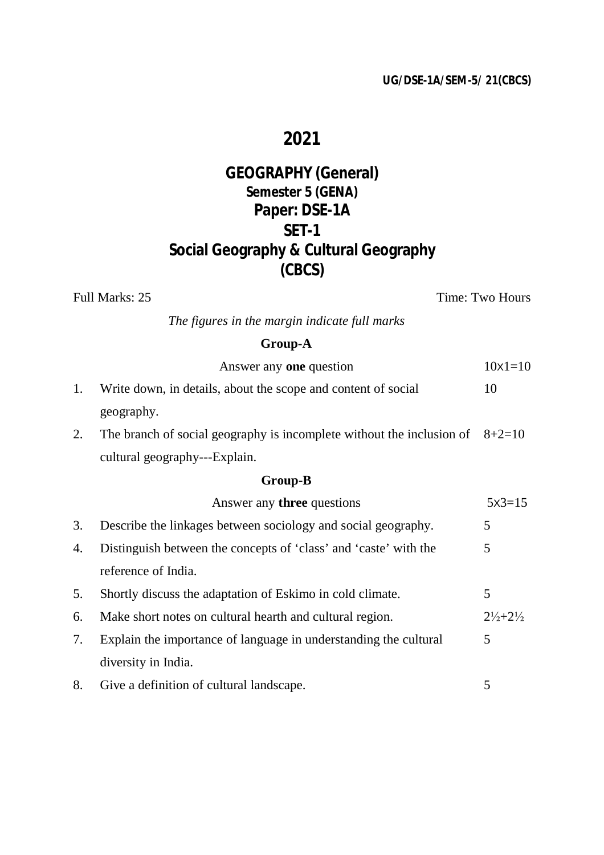#### **UG/DSE-1A/SEM-5/ 21(CBCS)**

## **2021**

### **GEOGRAPHY (General) Semester 5 (GENA) Paper: DSE-1A SET-1 Social Geography & Cultural Geography (CBCS)**

Full Marks: 25 Time: Two Hours

*The figures in the margin indicate full marks* 

### **Group-A**

|    | Answer any <b>one</b> question                                                 | $10x1=10$                     |
|----|--------------------------------------------------------------------------------|-------------------------------|
| 1. | Write down, in details, about the scope and content of social                  | 10                            |
|    | geography.                                                                     |                               |
| 2. | The branch of social geography is incomplete without the inclusion of $8+2=10$ |                               |
|    | cultural geography---Explain.                                                  |                               |
|    | <b>Group-B</b>                                                                 |                               |
|    | Answer any <b>three</b> questions                                              | $5x3=15$                      |
| 3. | Describe the linkages between sociology and social geography.                  | 5                             |
| 4. | Distinguish between the concepts of 'class' and 'caste' with the               | 5                             |
|    | reference of India.                                                            |                               |
| 5. | Shortly discuss the adaptation of Eskimo in cold climate.                      | 5                             |
| 6. | Make short notes on cultural hearth and cultural region.                       | $2\frac{1}{2} + 2\frac{1}{2}$ |
| 7. | Explain the importance of language in understanding the cultural               | 5                             |
|    | diversity in India.                                                            |                               |
| 8. | Give a definition of cultural landscape.                                       | 5                             |